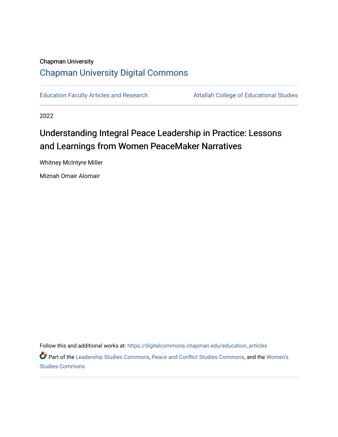# Chapman University [Chapman University Digital Commons](https://digitalcommons.chapman.edu/)

[Education Faculty Articles and Research](https://digitalcommons.chapman.edu/education_articles) **Attallah College of Educational Studies** 

2022

# Understanding Integral Peace Leadership in Practice: Lessons and Learnings from Women PeaceMaker Narratives

Whitney McIntyre Miller

Miznah Omair Alomair

Follow this and additional works at: [https://digitalcommons.chapman.edu/education\\_articles](https://digitalcommons.chapman.edu/education_articles?utm_source=digitalcommons.chapman.edu%2Feducation_articles%2F350&utm_medium=PDF&utm_campaign=PDFCoverPages)

Part of the [Leadership Studies Commons,](https://network.bepress.com/hgg/discipline/1250?utm_source=digitalcommons.chapman.edu%2Feducation_articles%2F350&utm_medium=PDF&utm_campaign=PDFCoverPages) [Peace and Conflict Studies Commons,](https://network.bepress.com/hgg/discipline/397?utm_source=digitalcommons.chapman.edu%2Feducation_articles%2F350&utm_medium=PDF&utm_campaign=PDFCoverPages) and the [Women's](https://network.bepress.com/hgg/discipline/561?utm_source=digitalcommons.chapman.edu%2Feducation_articles%2F350&utm_medium=PDF&utm_campaign=PDFCoverPages)  [Studies Commons](https://network.bepress.com/hgg/discipline/561?utm_source=digitalcommons.chapman.edu%2Feducation_articles%2F350&utm_medium=PDF&utm_campaign=PDFCoverPages)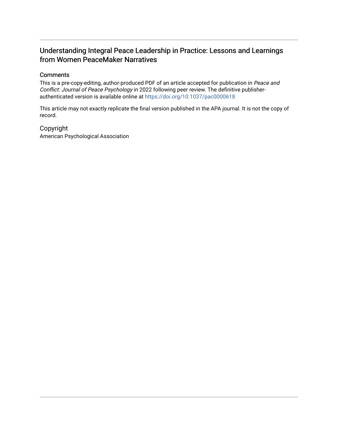# Understanding Integral Peace Leadership in Practice: Lessons and Learnings from Women PeaceMaker Narratives

# **Comments**

This is a pre-copy-editing, author-produced PDF of an article accepted for publication in Peace and Conflict: Journal of Peace Psychology in 2022 following peer review. The definitive publisherauthenticated version is available online at <https://doi.org/10.1037/pac0000618>

This article may not exactly replicate the final version published in the APA journal. It is not the copy of record.

# Copyright

American Psychological Association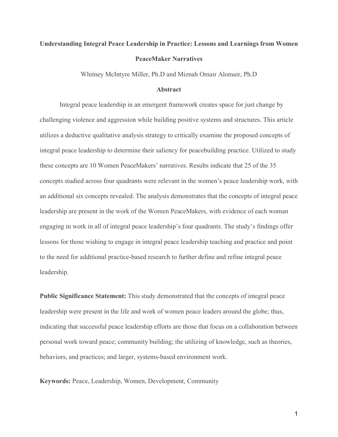# **Understanding Integral Peace Leadership in Practice: Lessons and Learnings from Women PeaceMaker Narratives**

Whitney McIntyre Miller, Ph.D and Miznah Omair Alomair, Ph.D

#### **Abstract**

Integral peace leadership in an emergent framework creates space for just change by challenging violence and aggression while building positive systems and structures. This article utilizes a deductive qualitative analysis strategy to critically examine the proposed concepts of integral peace leadership to determine their saliency for peacebuilding practice. Utilized to study these concepts are 10 Women PeaceMakers' narratives. Results indicate that 25 of the 35 concepts studied across four quadrants were relevant in the women's peace leadership work, with an additional six concepts revealed. The analysis demonstrates that the concepts of integral peace leadership are present in the work of the Women PeaceMakers, with evidence of each woman engaging in work in all of integral peace leadership's four quadrants. The study's findings offer lessons for those wishing to engage in integral peace leadership teaching and practice and point to the need for additional practice-based research to further define and refine integral peace leadership.

**Public Significance Statement:** This study demonstrated that the concepts of integral peace leadership were present in the life and work of women peace leaders around the globe; thus, indicating that successful peace leadership efforts are those that focus on a collaboration between personal work toward peace; community building; the utilizing of knowledge, such as theories, behaviors, and practices; and larger, systems-based environment work.

**Keywords:** Peace, Leadership, Women, Development, Community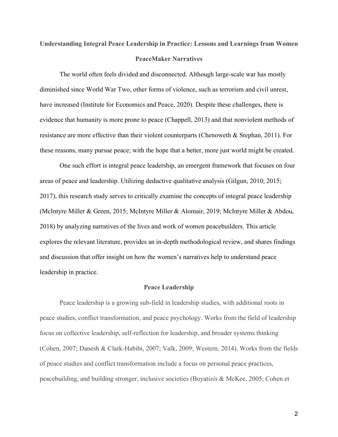# **Understanding Integral Peace Leadership in Practice: Lessons and Learnings from Women PeaceMaker Narratives**

The world often feels divided and disconnected. Although large-scale war has mostly diminished since World War Two, other forms of violence, such as terrorism and civil unrest, have increased (Institute for Economics and Peace, 2020). Despite these challenges, there is evidence that humanity is more prone to peace (Chappell, 2013) and that nonviolent methods of resistance are more effective than their violent counterparts (Chenoweth & Stephan, 2011). For these reasons, many pursue peace; with the hope that a better, more just world might be created.

One such effort is integral peace leadership, an emergent framework that focuses on four areas of peace and leadership. Utilizing deductive qualitative analysis (Gilgun, 2010; 2015; 2017), this research study serves to critically examine the concepts of integral peace leadership (McIntyre Miller & Green, 2015; McIntyre Miller & Alomair, 2019; McIntyre Miller & Abdou, 2018) by analyzing narratives of the lives and work of women peacebuilders. This article explores the relevant literature, provides an in-depth methodological review, and shares findings and discussion that offer insight on how the women's narratives help to understand peace leadership in practice.

#### **Peace Leadership**

Peace leadership is a growing sub-field in leadership studies, with additional roots in peace studies, conflict transformation, and peace psychology. Works from the field of leadership focus on collective leadership, self-reflection for leadership, and broader systems thinking (Cohen, 2007; Danesh & Clark-Habibi, 2007; Valk, 2009; Western, 2014). Works from the fields of peace studies and conflict transformation include a focus on personal peace practices, peacebuilding, and building stronger, inclusive societies (Boyatizis & McKee, 2005; Cohen et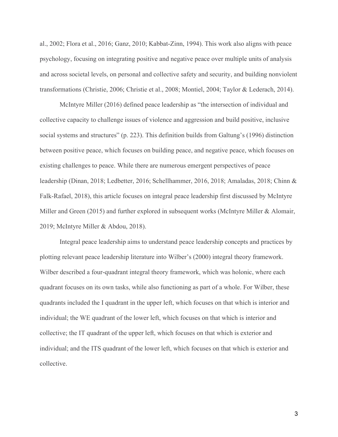al., 2002; Flora et al., 2016; Ganz, 2010; Kabbat-Zinn, 1994). This work also aligns with peace psychology, focusing on integrating positive and negative peace over multiple units of analysis and across societal levels, on personal and collective safety and security, and building nonviolent transformations (Christie, 2006; Christie et al., 2008; Montiel, 2004; Taylor & Lederach, 2014).

McIntyre Miller (2016) defined peace leadership as "the intersection of individual and collective capacity to challenge issues of violence and aggression and build positive, inclusive social systems and structures" (p. 223). This definition builds from Galtung's (1996) distinction between positive peace, which focuses on building peace, and negative peace, which focuses on existing challenges to peace. While there are numerous emergent perspectives of peace leadership (Dinan, 2018[; Ledbetter, 2016;](https://www.frontiersin.org/articles/10.3389/feduc.2018.00056/full?&utm_source=Email_to_authors_&utm_medium=Email&utm_content=T1_11.5e1_author&utm_campaign=Email_publication&field=&journalName=Frontiers_in_Education&id=379242#B60) [Schellhammer, 2016](https://www.frontiersin.org/articles/10.3389/feduc.2018.00056/full?&utm_source=Email_to_authors_&utm_medium=Email&utm_content=T1_11.5e1_author&utm_campaign=Email_publication&field=&journalName=Frontiers_in_Education&id=379242#B90)[, 2018;](https://www.frontiersin.org/articles/10.3389/feduc.2018.00056/full?&utm_source=Email_to_authors_&utm_medium=Email&utm_content=T1_11.5e1_author&utm_campaign=Email_publication&field=&journalName=Frontiers_in_Education&id=379242#B91) [Amaladas, 2018;](https://www.frontiersin.org/articles/10.3389/feduc.2018.00056/full?&utm_source=Email_to_authors_&utm_medium=Email&utm_content=T1_11.5e1_author&utm_campaign=Email_publication&field=&journalName=Frontiers_in_Education&id=379242#B3) Chinn & Falk-Rafael, 2018), this article focuses on integral peace leadership first discussed by McIntyre Miller and Green (2015) and further explored in subsequent works (McIntyre Miller & Alomair, 2019; McIntyre Miller & Abdou, 2018).

Integral peace leadership aims to understand peace leadership concepts and practices by plotting relevant peace leadership literature into Wilber's (2000) integral theory framework. Wilber described a four-quadrant integral theory framework, which was holonic, where each quadrant focuses on its own tasks, while also functioning as part of a whole. For Wilber, these quadrants included the I quadrant in the upper left, which focuses on that which is interior and individual; the WE quadrant of the lower left, which focuses on that which is interior and collective; the IT quadrant of the upper left, which focuses on that which is exterior and individual; and the ITS quadrant of the lower left, which focuses on that which is exterior and collective.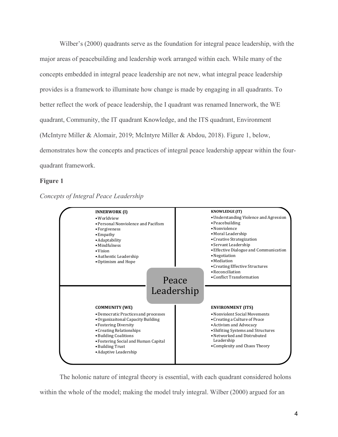Wilber's (2000) quadrants serve as the foundation for integral peace leadership, with the major areas of peacebuilding and leadership work arranged within each. While many of the concepts embedded in integral peace leadership are not new, what integral peace leadership provides is a framework to illuminate how change is made by engaging in all quadrants. To better reflect the work of peace leadership, the I quadrant was renamed Innerwork, the WE quadrant, Community, the IT quadrant Knowledge, and the ITS quadrant, Environment (McIntyre Miller & Alomair, 2019; McIntyre Miller & Abdou, 2018). Figure 1, below, demonstrates how the concepts and practices of integral peace leadership appear within the fourquadrant framework.

# **Figure 1**





The holonic nature of integral theory is essential, with each quadrant considered holons within the whole of the model; making the model truly integral. Wilber (2000) argued for an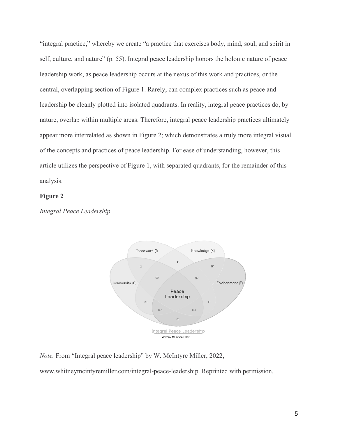"integral practice," whereby we create "a practice that exercises body, mind, soul, and spirit in self, culture, and nature" (p. 55). Integral peace leadership honors the holonic nature of peace leadership work, as peace leadership occurs at the nexus of this work and practices, or the central, overlapping section of Figure 1. Rarely, can complex practices such as peace and leadership be cleanly plotted into isolated quadrants. In reality, integral peace practices do, by nature, overlap within multiple areas. Therefore, integral peace leadership practices ultimately appear more interrelated as shown in Figure 2; which demonstrates a truly more integral visual of the concepts and practices of peace leadership. For ease of understanding, however, this article utilizes the perspective of Figure 1, with separated quadrants, for the remainder of this analysis.

### **Figure 2**

*Integral Peace Leadership*



*Note.* From "Integral peace leadership" by W. McIntyre Miller, 2022,

www.whitneymcintyremiller.com/integral-peace-leadership. Reprinted with permission.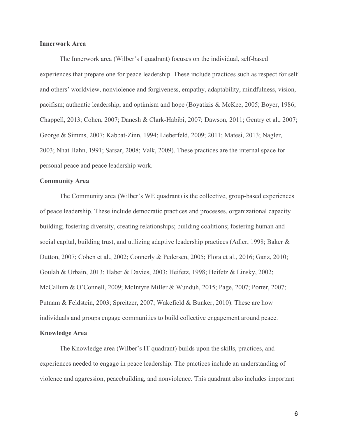# **Innerwork Area**

The Innerwork area (Wilber's I quadrant) focuses on the individual, self-based experiences that prepare one for peace leadership. These include practices such as respect for self and others' worldview, nonviolence and forgiveness, empathy, adaptability, mindfulness, vision, pacifism; authentic leadership, and optimism and hope (Boyatizis & McKee, 2005; Boyer, 1986; Chappell, 2013; Cohen, 2007; Danesh & Clark-Habibi, 2007; Dawson, 2011; Gentry et al., 2007; George & Simms, 2007; Kabbat-Zinn, 1994; Lieberfeld, 2009; 2011; Matesi, 2013; Nagler, 2003; Nhat Hahn, 1991; Sarsar, 2008; Valk, 2009). These practices are the internal space for personal peace and peace leadership work.

## **Community Area**

The Community area (Wilber's WE quadrant) is the collective, group-based experiences of peace leadership. These include democratic practices and processes, organizational capacity building; fostering diversity, creating relationships; building coalitions; fostering human and social capital, building trust, and utilizing adaptive leadership practices (Adler, 1998; Baker & Dutton, 2007; Cohen et al., 2002; Connerly & Pedersen, 2005; Flora et al., 2016; Ganz, 2010; Goulah & Urbain, 2013; Haber & Davies, 2003; Heifetz, 1998; Heifetz & Linsky, 2002; McCallum & O'Connell, 2009; McIntyre Miller & Wunduh, 2015; Page, 2007; Porter, 2007; Putnam & Feldstein, 2003; Spreitzer, 2007; Wakefield & Bunker, 2010). These are how individuals and groups engage communities to build collective engagement around peace. **Knowledge Area**

The Knowledge area (Wilber's IT quadrant) builds upon the skills, practices, and experiences needed to engage in peace leadership. The practices include an understanding of violence and aggression, peacebuilding, and nonviolence. This quadrant also includes important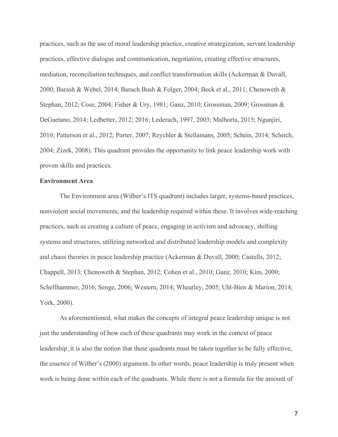practices, such as the use of moral leadership practice, creative strategization, servant leadership practices, effective dialogue and communication, negotiation, creating effective structures, mediation, reconciliation techniques, and conflict transformation skills (Ackerman & Duvall, 2000; Barash & Webel, 2014; Baruch Bush & Folger, 2004; Beck et al., 2011; Chenoweth & Stephan, 2012; Cose, 2004; Fisher & Ury, 1981; Ganz, 2010; Grossman, 2009; Grossman & DeGaetano, 2014; Ledbetter, 2012; 2016; Lederach, 1997, 2003; Malhorta, 2015; Ngunjiri, 2010; Patterson et al., 2012; Porter, 2007; Reychler & Stellamans, 2005; Schein, 2014; Schirch, 2004; Zizek, 2008). This quadrant provides the opportunity to link peace leadership work with proven skills and practices.

## **Environment Area**

The Environment area (Wilber's ITS quadrant) includes larger, systems-based practices, nonviolent social movements, and the leadership required within these. It involves wide-reaching practices, such as creating a culture of peace, engaging in activism and advocacy, shifting systems and structures, utilizing networked and distributed leadership models and complexity and chaos theories in peace leadership practice (Ackerman & Duvall, 2000; Castells, 2012; Chappell, 2013; Chenoweth & Stephan, 2012; Cohen et al., 2010; Ganz, 2010; Kim, 2000; Schellhammer, 2016; Senge, 2006; Western, 2014; Wheatley, 2005; Uhl-Bien & Marion, 2014; York, 2000).

As aforementioned, what makes the concepts of integral peace leadership unique is not just the understanding of how each of these quadrants may work in the context of peace leadership, it is also the notion that these quadrants must be taken together to be fully effective, the essence of Wilber's (2000) argument. In other words, peace leadership is truly present when work is being done within each of the quadrants. While there is not a formula for the amount of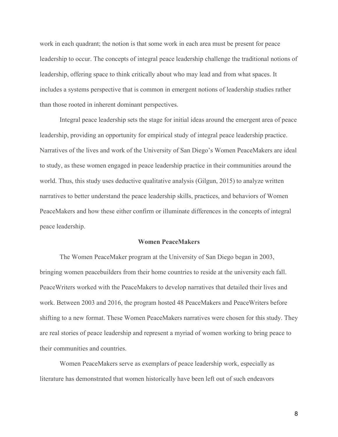work in each quadrant; the notion is that some work in each area must be present for peace leadership to occur. The concepts of integral peace leadership challenge the traditional notions of leadership, offering space to think critically about who may lead and from what spaces. It includes a systems perspective that is common in emergent notions of leadership studies rather than those rooted in inherent dominant perspectives.

Integral peace leadership sets the stage for initial ideas around the emergent area of peace leadership, providing an opportunity for empirical study of integral peace leadership practice. Narratives of the lives and work of the University of San Diego's Women PeaceMakers are ideal to study, as these women engaged in peace leadership practice in their communities around the world. Thus, this study uses deductive qualitative analysis (Gilgun, 2015) to analyze written narratives to better understand the peace leadership skills, practices, and behaviors of Women PeaceMakers and how these either confirm or illuminate differences in the concepts of integral peace leadership.

#### **Women PeaceMakers**

The Women PeaceMaker program at the University of San Diego began in 2003, bringing women peacebuilders from their home countries to reside at the university each fall. PeaceWriters worked with the PeaceMakers to develop narratives that detailed their lives and work. Between 2003 and 2016, the program hosted 48 PeaceMakers and PeaceWriters before shifting to a new format. These Women PeaceMakers narratives were chosen for this study. They are real stories of peace leadership and represent a myriad of women working to bring peace to their communities and countries.

Women PeaceMakers serve as exemplars of peace leadership work, especially as literature has demonstrated that women historically have been left out of such endeavors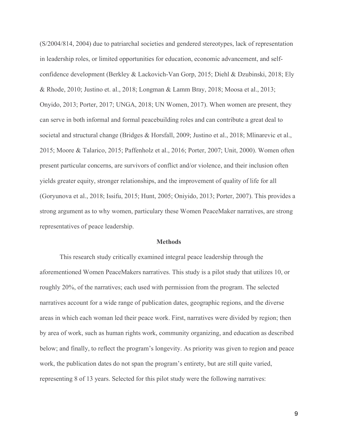(S/2004/814, 2004) due to patriarchal societies and gendered stereotypes, lack of representation in leadership roles, or limited opportunities for education, economic advancement, and selfconfidence development (Berkley & Lackovich-Van Gorp, 2015; Diehl & Dzubinski, 2018; Ely & Rhode, 2010; Justino et. al., 2018; Longman & Lamm Bray, 2018; Moosa et al., 2013; Onyido, 2013; Porter, 2017; UNGA, 2018; UN Women, 2017). When women are present, they can serve in both informal and formal peacebuilding roles and can contribute a great deal to societal and structural change (Bridges & Horsfall, 2009; Justino et al., 2018; Mlinarevic et al., 2015; Moore & Talarico, 2015; Paffenholz et al., 2016; Porter, 2007; Unit, 2000). Women often present particular concerns, are survivors of conflict and/or violence, and their inclusion often yields greater equity, stronger relationships, and the improvement of quality of life for all (Goryunova et al., 2018; Issifu, 2015; Hunt, 2005; Oniyido, 2013; Porter, 2007). This provides a strong argument as to why women, particulary these Women PeaceMaker narratives, are strong representatives of peace leadership.

#### **Methods**

This research study critically examined integral peace leadership through the aforementioned Women PeaceMakers narratives. This study is a pilot study that utilizes 10, or roughly 20%, of the narratives; each used with permission from the program. The selected narratives account for a wide range of publication dates, geographic regions, and the diverse areas in which each woman led their peace work. First, narratives were divided by region; then by area of work, such as human rights work, community organizing, and education as described below; and finally, to reflect the program's longevity. As priority was given to region and peace work, the publication dates do not span the program's entirety, but are still quite varied, representing 8 of 13 years. Selected for this pilot study were the following narratives: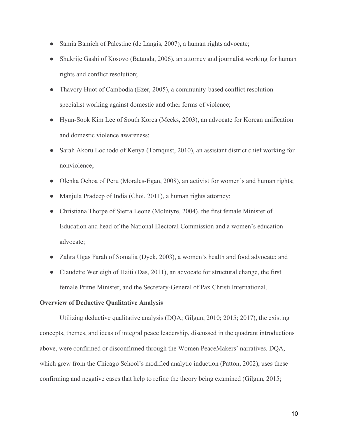- Samia Bamieh of Palestine (de Langis, 2007), a human rights advocate;
- Shukrije Gashi of Kosovo (Batanda, 2006), an attorney and journalist working for human rights and conflict resolution;
- Thavory Huot of Cambodia (Ezer, 2005), a community-based conflict resolution specialist working against domestic and other forms of violence;
- Hyun-Sook Kim Lee of South Korea (Meeks, 2003), an advocate for Korean unification and domestic violence awareness;
- Sarah Akoru Lochodo of Kenya (Tornquist, 2010), an assistant district chief working for nonviolence;
- Olenka Ochoa of Peru (Morales-Egan, 2008), an activist for women's and human rights;
- Manjula Pradeep of India (Choi, 2011), a human rights attorney;
- Christiana Thorpe of Sierra Leone (McIntyre, 2004), the first female Minister of Education and head of the National Electoral Commission and a women's education advocate;
- Zahra Ugas Farah of Somalia (Dyck, 2003), a women's health and food advocate; and
- Claudette Werleigh of Haiti (Das, 2011), an advocate for structural change, the first female Prime Minister, and the Secretary-General of Pax Christi International.

# **Overview of Deductive Qualitative Analysis**

Utilizing deductive qualitative analysis (DQA; Gilgun, 2010; 2015; 2017), the existing concepts, themes, and ideas of integral peace leadership, discussed in the quadrant introductions above, were confirmed or disconfirmed through the Women PeaceMakers' narratives. DQA, which grew from the Chicago School's modified analytic induction (Patton, 2002), uses these confirming and negative cases that help to refine the theory being examined (Gilgun, 2015;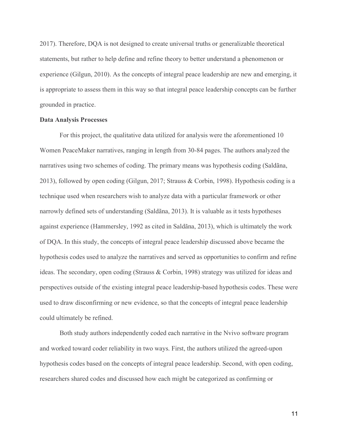2017). Therefore, DQA is not designed to create universal truths or generalizable theoretical statements, but rather to help define and refine theory to better understand a phenomenon or experience (Gilgun, 2010). As the concepts of integral peace leadership are new and emerging, it is appropriate to assess them in this way so that integral peace leadership concepts can be further grounded in practice.

#### **Data Analysis Processes**

For this project, the qualitative data utilized for analysis were the aforementioned 10 Women PeaceMaker narratives, ranging in length from 30-84 pages. The authors analyzed the narratives using two schemes of coding. The primary means was hypothesis coding (Saldãna, 2013), followed by open coding (Gilgun, 2017; Strauss & Corbin, 1998). Hypothesis coding is a technique used when researchers wish to analyze data with a particular framework or other narrowly defined sets of understanding (Saldãna, 2013). It is valuable as it tests hypotheses against experience (Hammersley, 1992 as cited in Saldãna, 2013), which is ultimately the work of DQA. In this study, the concepts of integral peace leadership discussed above became the hypothesis codes used to analyze the narratives and served as opportunities to confirm and refine ideas. The secondary, open coding (Strauss & Corbin, 1998) strategy was utilized for ideas and perspectives outside of the existing integral peace leadership-based hypothesis codes. These were used to draw disconfirming or new evidence, so that the concepts of integral peace leadership could ultimately be refined.

Both study authors independently coded each narrative in the Nvivo software program and worked toward coder reliability in two ways. First, the authors utilized the agreed-upon hypothesis codes based on the concepts of integral peace leadership. Second, with open coding, researchers shared codes and discussed how each might be categorized as confirming or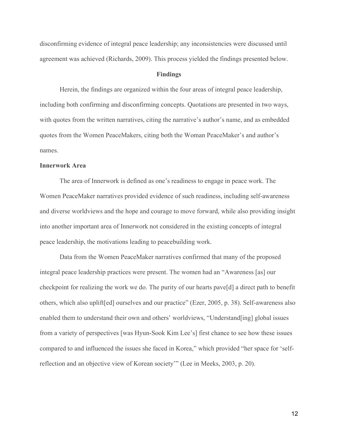disconfirming evidence of integral peace leadership; any inconsistencies were discussed until agreement was achieved (Richards, 2009). This process yielded the findings presented below.

#### **Findings**

Herein, the findings are organized within the four areas of integral peace leadership, including both confirming and disconfirming concepts. Quotations are presented in two ways, with quotes from the written narratives, citing the narrative's author's name, and as embedded quotes from the Women PeaceMakers, citing both the Woman PeaceMaker's and author's names.

### **Innerwork Area**

The area of Innerwork is defined as one's readiness to engage in peace work. The Women PeaceMaker narratives provided evidence of such readiness, including self-awareness and diverse worldviews and the hope and courage to move forward, while also providing insight into another important area of Innerwork not considered in the existing concepts of integral peace leadership, the motivations leading to peacebuilding work.

Data from the Women PeaceMaker narratives confirmed that many of the proposed integral peace leadership practices were present. The women had an "Awareness [as] our checkpoint for realizing the work we do. The purity of our hearts pave[d] a direct path to benefit others, which also uplift[ed] ourselves and our practice" (Ezer, 2005, p. 38). Self-awareness also enabled them to understand their own and others' worldviews, "Understand[ing] global issues from a variety of perspectives [was Hyun-Sook Kim Lee's] first chance to see how these issues compared to and influenced the issues she faced in Korea," which provided "her space for 'selfreflection and an objective view of Korean society'" (Lee in Meeks, 2003, p. 20).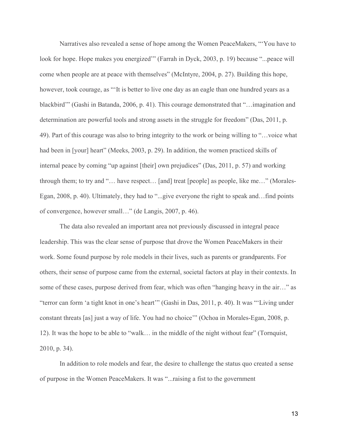Narratives also revealed a sense of hope among the Women PeaceMakers, "'You have to look for hope. Hope makes you energized" (Farrah in Dyck, 2003, p. 19) because "...peace will come when people are at peace with themselves" (McIntyre, 2004, p. 27). Building this hope, however, took courage, as "'It is better to live one day as an eagle than one hundred years as a blackbird'" (Gashi in Batanda, 2006, p. 41). This courage demonstrated that "…imagination and determination are powerful tools and strong assets in the struggle for freedom" (Das, 2011, p. 49). Part of this courage was also to bring integrity to the work or being willing to "…voice what had been in [your] heart" (Meeks, 2003, p. 29). In addition, the women practiced skills of internal peace by coming "up against [their] own prejudices" (Das, 2011, p. 57) and working through them; to try and "… have respect… [and] treat [people] as people, like me…" (Morales-Egan, 2008, p. 40). Ultimately, they had to "...give everyone the right to speak and…find points of convergence, however small…" (de Langis, 2007, p. 46).

The data also revealed an important area not previously discussed in integral peace leadership. This was the clear sense of purpose that drove the Women PeaceMakers in their work. Some found purpose by role models in their lives, such as parents or grandparents. For others, their sense of purpose came from the external, societal factors at play in their contexts. In some of these cases, purpose derived from fear, which was often "hanging heavy in the air…" as "terror can form 'a tight knot in one's heart'" (Gashi in Das, 2011, p. 40). It was "'Living under constant threats [as] just a way of life. You had no choice'" (Ochoa in Morales-Egan, 2008, p. 12). It was the hope to be able to "walk… in the middle of the night without fear" (Tornquist, 2010, p. 34).

In addition to role models and fear, the desire to challenge the status quo created a sense of purpose in the Women PeaceMakers. It was "...raising a fist to the government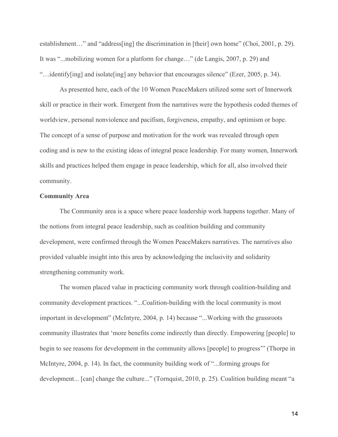establishment..." and "address[ing] the discrimination in [their] own home" (Choi, 2001, p. 29). It was "...mobilizing women for a platform for change…" (de Langis, 2007, p. 29) and "…identify[ing] and isolate[ing] any behavior that encourages silence" (Ezer, 2005, p. 34).

As presented here, each of the 10 Women PeaceMakers utilized some sort of Innerwork skill or practice in their work. Emergent from the narratives were the hypothesis coded themes of worldview, personal nonviolence and pacifism, forgiveness, empathy, and optimism or hope. The concept of a sense of purpose and motivation for the work was revealed through open coding and is new to the existing ideas of integral peace leadership. For many women, Innerwork skills and practices helped them engage in peace leadership, which for all, also involved their community.

#### **Community Area**

The Community area is a space where peace leadership work happens together. Many of the notions from integral peace leadership, such as coalition building and community development, were confirmed through the Women PeaceMakers narratives. The narratives also provided valuable insight into this area by acknowledging the inclusivity and solidarity strengthening community work.

The women placed value in practicing community work through coalition-building and community development practices. "...Coalition-building with the local community is most important in development" (McIntyre, 2004, p. 14) because "...Working with the grassroots community illustrates that 'more benefits come indirectly than directly. Empowering [people] to begin to see reasons for development in the community allows [people] to progress'" (Thorpe in McIntyre, 2004, p. 14). In fact, the community building work of "...forming groups for development... [can] change the culture..." (Tornquist, 2010, p. 25). Coalition building meant "a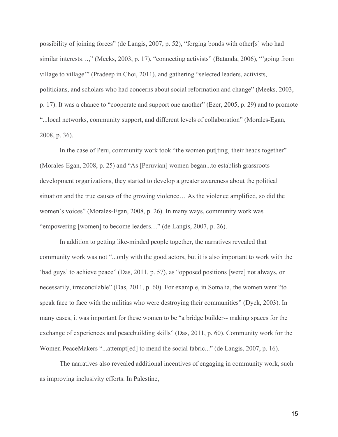possibility of joining forces" (de Langis, 2007, p. 52), "forging bonds with other[s] who had similar interests…," (Meeks, 2003, p. 17), "connecting activists" (Batanda, 2006), "'going from village to village'" (Pradeep in Choi, 2011), and gathering "selected leaders, activists, politicians, and scholars who had concerns about social reformation and change" (Meeks, 2003, p. 17). It was a chance to "cooperate and support one another" (Ezer, 2005, p. 29) and to promote "...local networks, community support, and different levels of collaboration" (Morales-Egan, 2008, p. 36).

In the case of Peru, community work took "the women put[ting] their heads together" (Morales-Egan, 2008, p. 25) and "As [Peruvian] women began...to establish grassroots development organizations, they started to develop a greater awareness about the political situation and the true causes of the growing violence… As the violence amplified, so did the women's voices" (Morales-Egan, 2008, p. 26). In many ways, community work was "empowering [women] to become leaders…" (de Langis, 2007, p. 26).

In addition to getting like-minded people together, the narratives revealed that community work was not "...only with the good actors, but it is also important to work with the 'bad guys' to achieve peace" (Das, 2011, p. 57), as "opposed positions [were] not always, or necessarily, irreconcilable" (Das, 2011, p. 60). For example, in Somalia, the women went "to speak face to face with the militias who were destroying their communities" (Dyck, 2003). In many cases, it was important for these women to be "a bridge builder-- making spaces for the exchange of experiences and peacebuilding skills" (Das, 2011, p. 60). Community work for the Women PeaceMakers "...attempt[ed] to mend the social fabric..." (de Langis, 2007, p. 16).

The narratives also revealed additional incentives of engaging in community work, such as improving inclusivity efforts. In Palestine,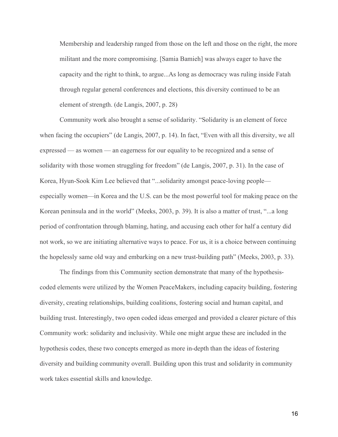Membership and leadership ranged from those on the left and those on the right, the more militant and the more compromising. [Samia Bamieh] was always eager to have the capacity and the right to think, to argue...As long as democracy was ruling inside Fatah through regular general conferences and elections, this diversity continued to be an element of strength. (de Langis, 2007, p. 28)

Community work also brought a sense of solidarity. "Solidarity is an element of force when facing the occupiers" (de Langis, 2007, p. 14). In fact, "Even with all this diversity, we all expressed — as women — an eagerness for our equality to be recognized and a sense of solidarity with those women struggling for freedom" (de Langis, 2007, p. 31). In the case of Korea, Hyun-Sook Kim Lee believed that "...solidarity amongst peace-loving people especially women—in Korea and the U.S. can be the most powerful tool for making peace on the Korean peninsula and in the world" (Meeks, 2003, p. 39). It is also a matter of trust, "...a long period of confrontation through blaming, hating, and accusing each other for half a century did not work, so we are initiating alternative ways to peace. For us, it is a choice between continuing the hopelessly same old way and embarking on a new trust-building path" (Meeks, 2003, p. 33).

The findings from this Community section demonstrate that many of the hypothesiscoded elements were utilized by the Women PeaceMakers, including capacity building, fostering diversity, creating relationships, building coalitions, fostering social and human capital, and building trust. Interestingly, two open coded ideas emerged and provided a clearer picture of this Community work: solidarity and inclusivity. While one might argue these are included in the hypothesis codes, these two concepts emerged as more in-depth than the ideas of fostering diversity and building community overall. Building upon this trust and solidarity in community work takes essential skills and knowledge.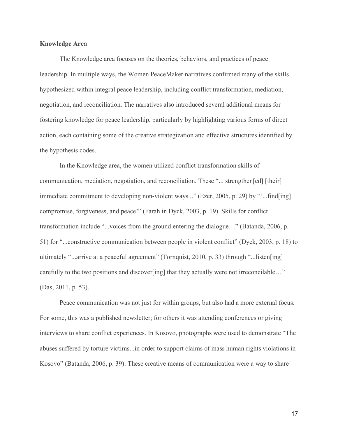# **Knowledge Area**

The Knowledge area focuses on the theories, behaviors, and practices of peace leadership. In multiple ways, the Women PeaceMaker narratives confirmed many of the skills hypothesized within integral peace leadership, including conflict transformation, mediation, negotiation, and reconciliation. The narratives also introduced several additional means for fostering knowledge for peace leadership, particularly by highlighting various forms of direct action, each containing some of the creative strategization and effective structures identified by the hypothesis codes.

In the Knowledge area, the women utilized conflict transformation skills of communication, mediation, negotiation, and reconciliation. These "... strengthen[ed] [their] immediate commitment to developing non-violent ways..." (Ezer, 2005, p. 29) by ""...find[ing] compromise, forgiveness, and peace'" (Farah in Dyck, 2003, p. 19). Skills for conflict transformation include "...voices from the ground entering the dialogue…" (Batanda, 2006, p. 51) for "...constructive communication between people in violent conflict" (Dyck, 2003, p. 18) to ultimately "...arrive at a peaceful agreement" (Tornquist, 2010, p. 33) through "...listen[ing] carefully to the two positions and discover[ing] that they actually were not irreconcilable…" (Das, 2011, p. 53).

Peace communication was not just for within groups, but also had a more external focus. For some, this was a published newsletter; for others it was attending conferences or giving interviews to share conflict experiences. In Kosovo, photographs were used to demonstrate "The abuses suffered by torture victims...in order to support claims of mass human rights violations in Kosovo" (Batanda, 2006, p. 39). These creative means of communication were a way to share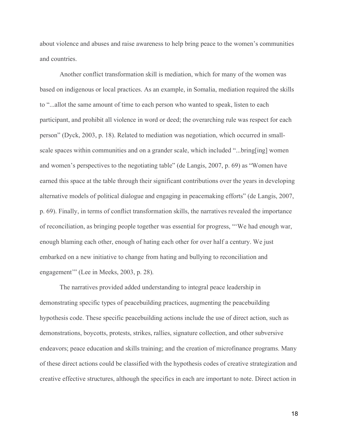about violence and abuses and raise awareness to help bring peace to the women's communities and countries.

Another conflict transformation skill is mediation, which for many of the women was based on indigenous or local practices. As an example, in Somalia, mediation required the skills to "...allot the same amount of time to each person who wanted to speak, listen to each participant, and prohibit all violence in word or deed; the overarching rule was respect for each person" (Dyck, 2003, p. 18). Related to mediation was negotiation, which occurred in smallscale spaces within communities and on a grander scale, which included "...bring[ing] women and women's perspectives to the negotiating table" (de Langis, 2007, p. 69) as "Women have earned this space at the table through their significant contributions over the years in developing alternative models of political dialogue and engaging in peacemaking efforts" (de Langis, 2007, p. 69). Finally, in terms of conflict transformation skills, the narratives revealed the importance of reconciliation, as bringing people together was essential for progress, "'We had enough war, enough blaming each other, enough of hating each other for over half a century. We just embarked on a new initiative to change from hating and bullying to reconciliation and engagement'" (Lee in Meeks, 2003, p. 28).

The narratives provided added understanding to integral peace leadership in demonstrating specific types of peacebuilding practices, augmenting the peacebuilding hypothesis code. These specific peacebuilding actions include the use of direct action, such as demonstrations, boycotts, protests, strikes, rallies, signature collection, and other subversive endeavors; peace education and skills training; and the creation of microfinance programs. Many of these direct actions could be classified with the hypothesis codes of creative strategization and creative effective structures, although the specifics in each are important to note. Direct action in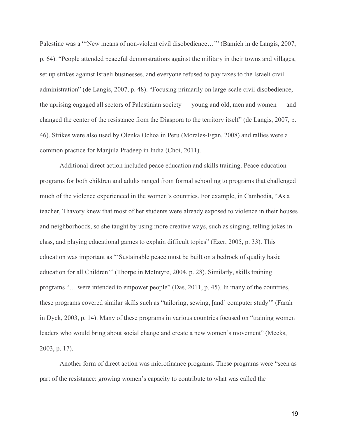Palestine was a "'New means of non-violent civil disobedience..." (Bamieh in de Langis, 2007, p. 64). "People attended peaceful demonstrations against the military in their towns and villages, set up strikes against Israeli businesses, and everyone refused to pay taxes to the Israeli civil administration" (de Langis, 2007, p. 48). "Focusing primarily on large-scale civil disobedience, the uprising engaged all sectors of Palestinian society — young and old, men and women — and changed the center of the resistance from the Diaspora to the territory itself" (de Langis, 2007, p. 46). Strikes were also used by Olenka Ochoa in Peru (Morales-Egan, 2008) and rallies were a common practice for Manjula Pradeep in India (Choi, 2011).

Additional direct action included peace education and skills training. Peace education programs for both children and adults ranged from formal schooling to programs that challenged much of the violence experienced in the women's countries. For example, in Cambodia, "As a teacher, Thavory knew that most of her students were already exposed to violence in their houses and neighborhoods, so she taught by using more creative ways, such as singing, telling jokes in class, and playing educational games to explain difficult topics" (Ezer, 2005, p. 33). This education was important as "'Sustainable peace must be built on a bedrock of quality basic education for all Children'" (Thorpe in McIntyre, 2004, p. 28). Similarly, skills training programs "… were intended to empower people" (Das, 2011, p. 45). In many of the countries, these programs covered similar skills such as "tailoring, sewing, [and] computer study'" (Farah in Dyck, 2003, p. 14). Many of these programs in various countries focused on "training women leaders who would bring about social change and create a new women's movement" (Meeks, 2003, p. 17).

Another form of direct action was microfinance programs. These programs were "seen as part of the resistance: growing women's capacity to contribute to what was called the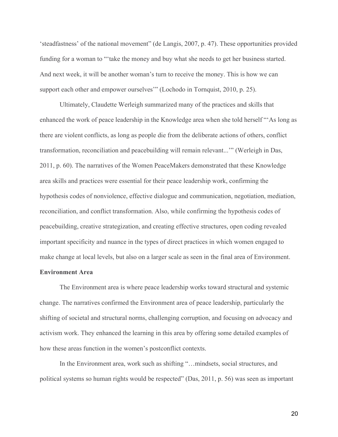'steadfastness' of the national movement" (de Langis, 2007, p. 47). These opportunities provided funding for a woman to "'take the money and buy what she needs to get her business started. And next week, it will be another woman's turn to receive the money. This is how we can support each other and empower ourselves'" (Lochodo in Tornquist, 2010, p. 25).

Ultimately, Claudette Werleigh summarized many of the practices and skills that enhanced the work of peace leadership in the Knowledge area when she told herself "'As long as there are violent conflicts, as long as people die from the deliberate actions of others, conflict transformation, reconciliation and peacebuilding will remain relevant...'" (Werleigh in Das, 2011, p. 60). The narratives of the Women PeaceMakers demonstrated that these Knowledge area skills and practices were essential for their peace leadership work, confirming the hypothesis codes of nonviolence, effective dialogue and communication, negotiation, mediation, reconciliation, and conflict transformation. Also, while confirming the hypothesis codes of peacebuilding, creative strategization, and creating effective structures, open coding revealed important specificity and nuance in the types of direct practices in which women engaged to make change at local levels, but also on a larger scale as seen in the final area of Environment.

# **Environment Area**

The Environment area is where peace leadership works toward structural and systemic change. The narratives confirmed the Environment area of peace leadership, particularly the shifting of societal and structural norms, challenging corruption, and focusing on advocacy and activism work. They enhanced the learning in this area by offering some detailed examples of how these areas function in the women's postconflict contexts.

In the Environment area, work such as shifting "…mindsets, social structures, and political systems so human rights would be respected" (Das, 2011, p. 56) was seen as important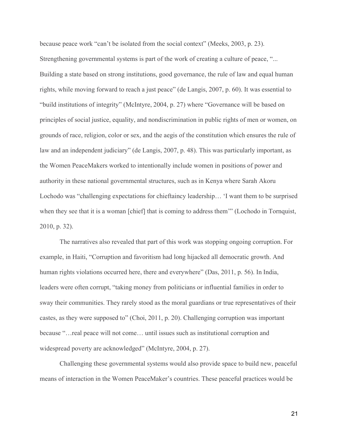because peace work "can't be isolated from the social context" (Meeks, 2003, p. 23). Strengthening governmental systems is part of the work of creating a culture of peace, "... Building a state based on strong institutions, good governance, the rule of law and equal human rights, while moving forward to reach a just peace" (de Langis, 2007, p. 60). It was essential to "build institutions of integrity" (McIntyre, 2004, p. 27) where "Governance will be based on principles of social justice, equality, and nondiscrimination in public rights of men or women, on grounds of race, religion, color or sex, and the aegis of the constitution which ensures the rule of law and an independent judiciary" (de Langis, 2007, p. 48). This was particularly important, as the Women PeaceMakers worked to intentionally include women in positions of power and authority in these national governmental structures, such as in Kenya where Sarah Akoru Lochodo was "challenging expectations for chieftaincy leadership… 'I want them to be surprised when they see that it is a woman [chief] that is coming to address them'" (Lochodo in Tornquist, 2010, p. 32).

The narratives also revealed that part of this work was stopping ongoing corruption. For example, in Haiti, "Corruption and favoritism had long hijacked all democratic growth. And human rights violations occurred here, there and everywhere" (Das, 2011, p. 56). In India, leaders were often corrupt, "taking money from politicians or influential families in order to sway their communities. They rarely stood as the moral guardians or true representatives of their castes, as they were supposed to" (Choi, 2011, p. 20). Challenging corruption was important because "…real peace will not come… until issues such as institutional corruption and widespread poverty are acknowledged" (McIntyre, 2004, p. 27).

Challenging these governmental systems would also provide space to build new, peaceful means of interaction in the Women PeaceMaker's countries. These peaceful practices would be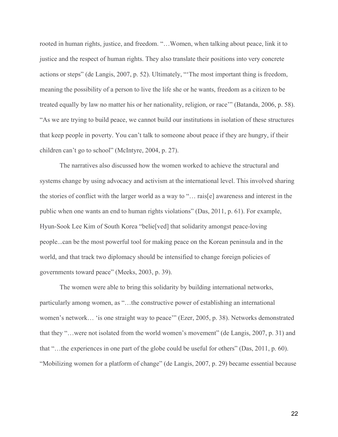rooted in human rights, justice, and freedom. "…Women, when talking about peace, link it to justice and the respect of human rights. They also translate their positions into very concrete actions or steps" (de Langis, 2007, p. 52). Ultimately, "'The most important thing is freedom, meaning the possibility of a person to live the life she or he wants, freedom as a citizen to be treated equally by law no matter his or her nationality, religion, or race'" (Batanda, 2006, p. 58). "As we are trying to build peace, we cannot build our institutions in isolation of these structures that keep people in poverty. You can't talk to someone about peace if they are hungry, if their children can't go to school" (McIntyre, 2004, p. 27).

The narratives also discussed how the women worked to achieve the structural and systems change by using advocacy and activism at the international level. This involved sharing the stories of conflict with the larger world as a way to "… rais[e] awareness and interest in the public when one wants an end to human rights violations" (Das, 2011, p. 61). For example, Hyun-Sook Lee Kim of South Korea "belie[ved] that solidarity amongst peace-loving people...can be the most powerful tool for making peace on the Korean peninsula and in the world, and that track two diplomacy should be intensified to change foreign policies of governments toward peace" (Meeks, 2003, p. 39).

The women were able to bring this solidarity by building international networks, particularly among women, as "…the constructive power of establishing an international women's network… 'is one straight way to peace'" (Ezer, 2005, p. 38). Networks demonstrated that they "…were not isolated from the world women's movement" (de Langis, 2007, p. 31) and that "…the experiences in one part of the globe could be useful for others" (Das, 2011, p. 60). "Mobilizing women for a platform of change" (de Langis, 2007, p. 29) became essential because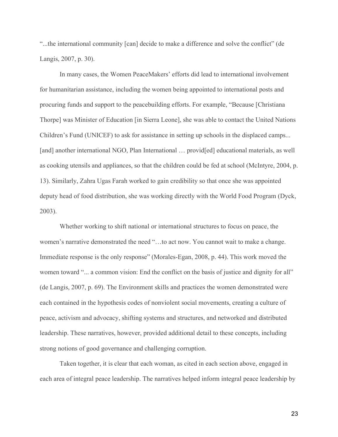"...the international community [can] decide to make a difference and solve the conflict" (de Langis, 2007, p. 30).

In many cases, the Women PeaceMakers' efforts did lead to international involvement for humanitarian assistance, including the women being appointed to international posts and procuring funds and support to the peacebuilding efforts. For example, "Because [Christiana Thorpe] was Minister of Education [in Sierra Leone], she was able to contact the United Nations Children's Fund (UNICEF) to ask for assistance in setting up schools in the displaced camps... [and] another international NGO, Plan International ... providentled educational materials, as well as cooking utensils and appliances, so that the children could be fed at school (McIntyre, 2004, p. 13). Similarly, Zahra Ugas Farah worked to gain credibility so that once she was appointed deputy head of food distribution, she was working directly with the World Food Program (Dyck, 2003).

Whether working to shift national or international structures to focus on peace, the women's narrative demonstrated the need "…to act now. You cannot wait to make a change. Immediate response is the only response" (Morales-Egan, 2008, p. 44). This work moved the women toward "... a common vision: End the conflict on the basis of justice and dignity for all" (de Langis, 2007, p. 69). The Environment skills and practices the women demonstrated were each contained in the hypothesis codes of nonviolent social movements, creating a culture of peace, activism and advocacy, shifting systems and structures, and networked and distributed leadership. These narratives, however, provided additional detail to these concepts, including strong notions of good governance and challenging corruption.

Taken together, it is clear that each woman, as cited in each section above, engaged in each area of integral peace leadership. The narratives helped inform integral peace leadership by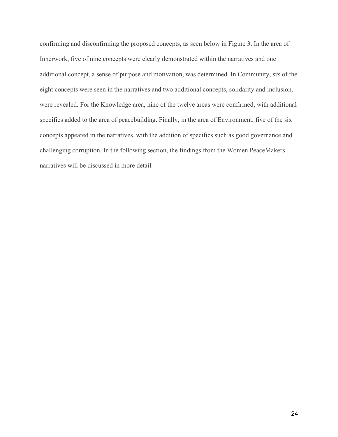confirming and disconfirming the proposed concepts, as seen below in Figure 3. In the area of Innerwork, five of nine concepts were clearly demonstrated within the narratives and one additional concept, a sense of purpose and motivation, was determined. In Community, six of the eight concepts were seen in the narratives and two additional concepts, solidarity and inclusion, were revealed. For the Knowledge area, nine of the twelve areas were confirmed, with additional specifics added to the area of peacebuilding. Finally, in the area of Environment, five of the six concepts appeared in the narratives, with the addition of specifics such as good governance and challenging corruption. In the following section, the findings from the Women PeaceMakers narratives will be discussed in more detail.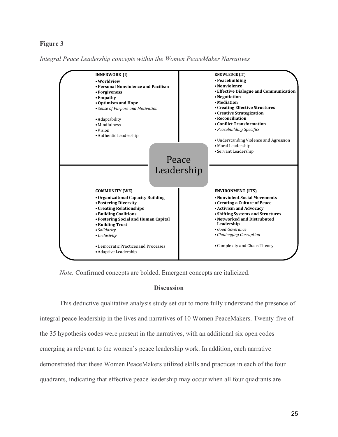# **Figure 3**

*Integral Peace Leadership concepts within the Women PeaceMaker Narratives*



*Note.* Confirmed concepts are bolded. Emergent concepts are italicized.

## **Discussion**

This deductive qualitative analysis study set out to more fully understand the presence of integral peace leadership in the lives and narratives of 10 Women PeaceMakers. Twenty-five of the 35 hypothesis codes were present in the narratives, with an additional six open codes emerging as relevant to the women's peace leadership work. In addition, each narrative demonstrated that these Women PeaceMakers utilized skills and practices in each of the four quadrants, indicating that effective peace leadership may occur when all four quadrants are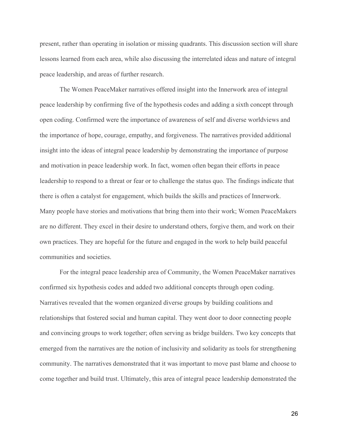present, rather than operating in isolation or missing quadrants. This discussion section will share lessons learned from each area, while also discussing the interrelated ideas and nature of integral peace leadership, and areas of further research.

The Women PeaceMaker narratives offered insight into the Innerwork area of integral peace leadership by confirming five of the hypothesis codes and adding a sixth concept through open coding. Confirmed were the importance of awareness of self and diverse worldviews and the importance of hope, courage, empathy, and forgiveness. The narratives provided additional insight into the ideas of integral peace leadership by demonstrating the importance of purpose and motivation in peace leadership work. In fact, women often began their efforts in peace leadership to respond to a threat or fear or to challenge the status quo. The findings indicate that there is often a catalyst for engagement, which builds the skills and practices of Innerwork. Many people have stories and motivations that bring them into their work; Women PeaceMakers are no different. They excel in their desire to understand others, forgive them, and work on their own practices. They are hopeful for the future and engaged in the work to help build peaceful communities and societies.

For the integral peace leadership area of Community, the Women PeaceMaker narratives confirmed six hypothesis codes and added two additional concepts through open coding. Narratives revealed that the women organized diverse groups by building coalitions and relationships that fostered social and human capital. They went door to door connecting people and convincing groups to work together; often serving as bridge builders. Two key concepts that emerged from the narratives are the notion of inclusivity and solidarity as tools for strengthening community. The narratives demonstrated that it was important to move past blame and choose to come together and build trust. Ultimately, this area of integral peace leadership demonstrated the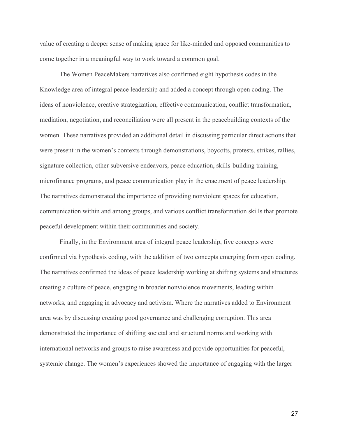value of creating a deeper sense of making space for like-minded and opposed communities to come together in a meaningful way to work toward a common goal.

The Women PeaceMakers narratives also confirmed eight hypothesis codes in the Knowledge area of integral peace leadership and added a concept through open coding. The ideas of nonviolence, creative strategization, effective communication, conflict transformation, mediation, negotiation, and reconciliation were all present in the peacebuilding contexts of the women. These narratives provided an additional detail in discussing particular direct actions that were present in the women's contexts through demonstrations, boycotts, protests, strikes, rallies, signature collection, other subversive endeavors, peace education, skills-building training, microfinance programs, and peace communication play in the enactment of peace leadership. The narratives demonstrated the importance of providing nonviolent spaces for education, communication within and among groups, and various conflict transformation skills that promote peaceful development within their communities and society.

Finally, in the Environment area of integral peace leadership, five concepts were confirmed via hypothesis coding, with the addition of two concepts emerging from open coding. The narratives confirmed the ideas of peace leadership working at shifting systems and structures creating a culture of peace, engaging in broader nonviolence movements, leading within networks, and engaging in advocacy and activism. Where the narratives added to Environment area was by discussing creating good governance and challenging corruption. This area demonstrated the importance of shifting societal and structural norms and working with international networks and groups to raise awareness and provide opportunities for peaceful, systemic change. The women's experiences showed the importance of engaging with the larger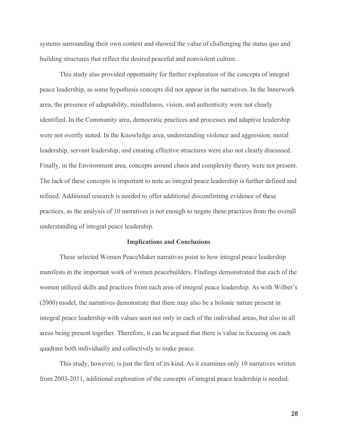systems surrounding their own context and showed the value of challenging the status quo and building structures that reflect the desired peaceful and nonviolent culture.

This study also provided opportunity for further exploration of the concepts of integral peace leadership, as some hypothesis concepts did not appear in the narratives. In the Innerwork area, the presence of adaptability, mindfulness, vision, and authenticity were not clearly identified. In the Community area, democratic practices and processes and adaptive leadership were not overtly stated. In the Knowledge area, understanding violence and aggression, moral leadership, servant leadership, and creating effective structures were also not clearly discussed. Finally, in the Environment area, concepts around chaos and complexity theory were not present. The lack of these concepts is important to note as integral peace leadership is further defined and refined. Additional research is needed to offer additional disconfirming evidence of these practices, as the analysis of 10 narratives is not enough to negate these practices from the overall understanding of integral peace leadership.

#### **Implications and Conclusions**

These selected Women PeaceMaker narratives point to how integral peace leadership manifests in the important work of women peacebuilders. Findings demonstrated that each of the women utilized skills and practices from each area of integral peace leadership. As with Wilber's (2000) model, the narratives demonstrate that there may also be a holonic nature present in integral peace leadership with values seen not only in each of the individual areas, but also in all areas being present together. Therefore, it can be argued that there is value in focusing on each quadrant both individually and collectively to make peace.

This study, however, is just the first of its kind. As it examines only 10 narratives written from 2003-2011, additional exploration of the concepts of integral peace leadership is needed.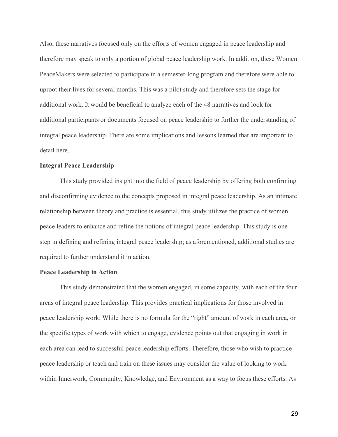Also, these narratives focused only on the efforts of women engaged in peace leadership and therefore may speak to only a portion of global peace leadership work. In addition, these Women PeaceMakers were selected to participate in a semester-long program and therefore were able to uproot their lives for several months. This was a pilot study and therefore sets the stage for additional work. It would be beneficial to analyze each of the 48 narratives and look for additional participants or documents focused on peace leadership to further the understanding of integral peace leadership. There are some implications and lessons learned that are important to detail here.

# **Integral Peace Leadership**

This study provided insight into the field of peace leadership by offering both confirming and disconfirming evidence to the concepts proposed in integral peace leadership. As an intimate relationship between theory and practice is essential, this study utilizes the practice of women peace leaders to enhance and refine the notions of integral peace leadership. This study is one step in defining and refining integral peace leadership; as aforementioned, additional studies are required to further understand it in action.

# **Peace Leadership in Action**

This study demonstrated that the women engaged, in some capacity, with each of the four areas of integral peace leadership. This provides practical implications for those involved in peace leadership work. While there is no formula for the "right" amount of work in each area, or the specific types of work with which to engage, evidence points out that engaging in work in each area can lead to successful peace leadership efforts. Therefore, those who wish to practice peace leadership or teach and train on these issues may consider the value of looking to work within Innerwork, Community, Knowledge, and Environment as a way to focus these efforts. As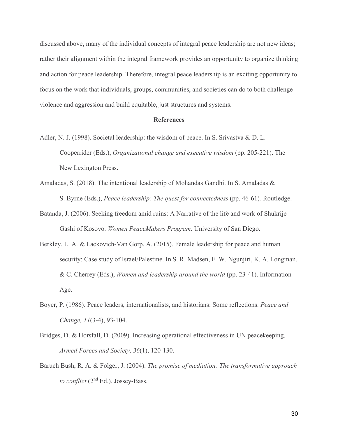discussed above, many of the individual concepts of integral peace leadership are not new ideas; rather their alignment within the integral framework provides an opportunity to organize thinking and action for peace leadership. Therefore, integral peace leadership is an exciting opportunity to focus on the work that individuals, groups, communities, and societies can do to both challenge violence and aggression and build equitable, just structures and systems.

#### **References**

- Adler, N. J. (1998). Societal leadership: the wisdom of peace. In S. Srivastva & D. L. Cooperrider (Eds.), *Organizational change and executive wisdom* (pp. 205-221). The New Lexington Press.
- Amaladas, S. (2018). The intentional leadership of Mohandas Gandhi. In S. Amaladas & S. Byrne (Eds.), *Peace leadership: The quest for connectedness* (pp. 46-61)*.* Routledge.
- Batanda, J. (2006). Seeking freedom amid ruins: A Narrative of the life and work of Shukrije Gashi of Kosovo. *Women PeaceMakers Program*. University of San Diego.
- Berkley, L. A. & Lackovich-Van Gorp, A. (2015). Female leadership for peace and human security: Case study of Israel/Palestine. In S. R. Madsen, F. W. Ngunjiri, K. A. Longman, & C. Cherrey (Eds.), *Women and leadership around the world* (pp. 23-41). Information Age.
- Boyer, P. (1986). Peace leaders, internationalists, and historians: Some reflections. *Peace and Change, 11*(3-4), 93-104.
- Bridges, D. & Horsfall, D. (2009). Increasing operational effectiveness in UN peacekeeping. *Armed Forces and Society, 36*(1), 120-130.
- Baruch Bush, R. A. & Folger, J. (2004). *The promise of mediation: The transformative approach to conflict* (2nd Ed.). Jossey-Bass.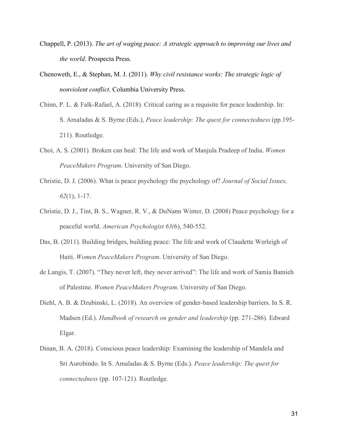- Chappell, P. (2013). *The art of waging peace: A strategic approach to improving our lives and the world*. Prospecta Press.
- Chenoweth, E., & Stephan, M. J. (2011). *Why civil resistance works: The strategic logic of nonviolent conflict*. Columbia University Press.
- Chinn, P. L. & Falk-Rafael, A. (2018). Critical caring as a requisite for peace leadership. In: S. Amaladas & S. Byrne (Eds.), *Peace leadership: The quest for connectedness* (pp.195- 211)*.* Routledge*.*
- Choi, A. S. (2001). Broken can heal: The life and work of Manjula Pradeep of India. *Women PeaceMakers Program*. University of San Diego.
- Christie, D. J. (2006). What is peace psychology the psychology of? *Journal of Social Issues, 62*(1), 1-17.
- Christie, D. J., Tint, B. S., Wagner, R. V., & DuNann Winter, D. (2008) Peace psychology for a peaceful world. *American Psychologist 63(*6), 540-552.
- Das, B. (2011). Building bridges, building peace: The life and work of Claudette Werleigh of Haiti. *Women PeaceMakers Program*. University of San Diego.
- de Langis, T. (2007). "They never left, they never arrived": The life and work of Samia Bamieh of Palestine. *Women PeaceMakers Program*. University of San Diego.
- Diehl, A. B. & Dzubinski, L. (2018). An overview of gender-based leadership barriers. In S. R. Madsen (Ed.). *Handbook of research on gender and leadership* (pp. 271-286)*.* Edward Elgar.
- Dinan, B. A. (2018). Conscious peace leadership: Examining the leadership of Mandela and Sri Aurobindo. In S. Amaladas & S. Byrne (Eds.). *Peace leadership: The quest for connectedness* (pp. 107-121)*.* Routledge*.*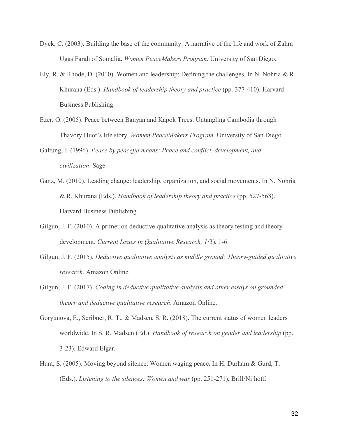- Dyck, C. (2003). Building the base of the community: A narrative of the life and work of Zahra Ugas Farah of Somalia. *Women PeaceMakers Program*. University of San Diego.
- Ely, R. & Rhode, D. (2010). Women and leadership: Defining the challenges. In N. Nohria & R. Khurana (Eds.). *Handbook of leadership theory and practice* (pp. 377-410). Harvard Business Publishing.
- Ezer, O. (2005). Peace between Banyan and Kapok Trees: Untangling Cambodia through Thavory Huot's life story. *Women PeaceMakers Program*. University of San Diego.
- Galtung, J. (1996). *Peace by peaceful means: Peace and conflict, development, and civilization*. Sage.
- Ganz, M. (2010). Leading change: leadership, organization, and social movements. In N. Nohria & R. Khurana (Eds.). *Handbook of leadership theory and practice* (pp. 527-568). Harvard Business Publishing.
- Gilgun, J. F. (2010). A primer on deductive qualitative analysis as theory testing and theory development. *Current Issues in Qualitative Research, 1(*3), 1-6.
- Gilgun, J. F. (2015). *Deductive qualitative analysis as middle ground: Theory-guided qualitative research*. Amazon Online.
- Gilgun, J. F. (2017). *Coding in deductive qualitative analysis and other essays on grounded theory and deductive qualitative research*. Amazon Online.
- Goryunova, E., Scribner, R. T., & Madsen, S. R. (2018). The current status of women leaders worldwide. In S. R. Madsen (Ed.). *Handbook of research on gender and leadership* (pp. 3-23). Edward Elgar.
- Hunt, S. (2005). Moving beyond silence: Women waging peace. In H. Durham & Gurd, T. (Eds.). *Listening to the silences: Women and war* (pp. 251-271)*.* Brill/Nijhoff.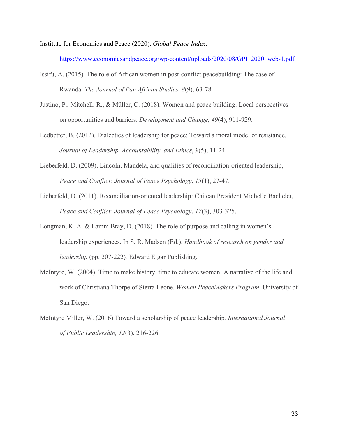Institute for Economics and Peace (2020). *Global Peace Index*.

https://www.economicsandpeace.org/wp-content/uploads/2020/08/GPI\_2020\_web-1.pdf

- Issifu, A. (2015). The role of African women in post-conflict peacebuilding: The case of Rwanda. *The Journal of Pan African Studies, 8*(9), 63-78.
- Justino, P., Mitchell, R., & Müller, C. (2018). Women and peace building: Local perspectives on opportunities and barriers. *Development and Change, 49*(4), 911-929.
- Ledbetter, B. (2012). Dialectics of leadership for peace: Toward a moral model of resistance, *Journal of Leadership, Accountability, and Ethics*, *9*(5), 11-24.
- Lieberfeld, D. (2009). Lincoln, Mandela, and qualities of reconciliation-oriented leadership, *Peace and Conflict: Journal of Peace Psychology*, *15*(1), 27-47.
- Lieberfeld, D. (2011). Reconciliation-oriented leadership: Chilean President Michelle Bachelet, *Peace and Conflict: Journal of Peace Psychology*, *17*(3), 303-325.
- Longman, K. A. & Lamm Bray, D. (2018). The role of purpose and calling in women's leadership experiences. In S. R. Madsen (Ed.). *Handbook of research on gender and leadership* (pp. 207-222)*.* Edward Elgar Publishing.
- McIntyre, W. (2004). Time to make history, time to educate women: A narrative of the life and work of Christiana Thorpe of Sierra Leone. *Women PeaceMakers Program*. University of San Diego.
- McIntyre Miller, W. (2016) Toward a scholarship of peace leadership*. International Journal of Public Leadership, 12*(3), 216-226.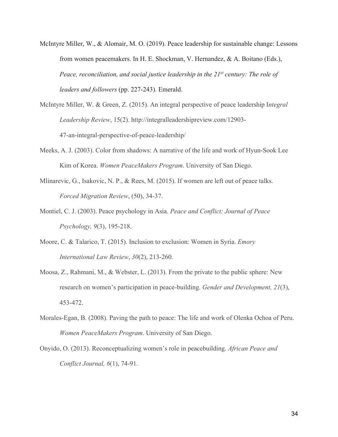- McIntyre Miller, W., & Alomair, M. O. (2019). Peace leadership for sustainable change: Lessons from women peacemakers. In H. E. Shockman, V. Hernandez, & A. Boitano (Eds.), *Peace, reconciliation, and social justice leadership in the 21st century: The role of leaders and followers* (pp. 227-243). Emerald.
- McIntyre Miller, W. & Green, Z. (2015). An integral perspective of peace leadership I*ntegral Leadership Review*, 15(2). http://integralleadershipreview.com/12903- 47-an-integral-perspective-of-peace-leadership/
- Meeks, A. J. (2003). Color from shadows: A narrative of the life and work of Hyun-Sook Lee Kim of Korea. *Women PeaceMakers Program*. University of San Diego.
- Mlinarevic, G., Isakovic, N. P., & Rees, M. (2015). If women are left out of peace talks. *Forced Migration Review*, (50), 34-37.
- Montiel, C. J. (2003). Peace psychology in Asia. *Peace and Conflict: Journal of Peace Psychology, 9*(3), 195-218.
- Moore, C. & Talarico, T. (2015). Inclusion to exclusion: Women in Syria. *Emory International Law Review*, *30*(2), 213-260.
- Moosa, Z., Rahmani, M., & Webster, L. (2013). From the private to the public sphere: New research on women's participation in peace-building. *Gender and Development, 21*(3), 453-472.
- Morales-Egan, B. (2008). Paving the path to peace: The life and work of Olenka Ochoa of Peru. *Women PeaceMakers Program*. University of San Diego.
- Onyido, O. (2013). Reconceptualizing women's role in peacebuilding. *African Peace and Conflict Journal, 6*(1), 74-91.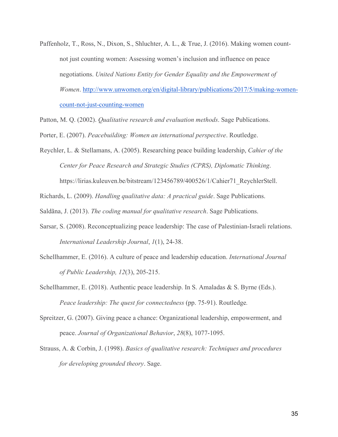- Paffenholz, T., Ross, N., Dixon, S., Shluchter, A. L., & True, J. (2016). Making women countnot just counting women: Assessing women's inclusion and influence on peace negotiations. *United Nations Entity for Gender Equality and the Empowerment of Women*. [http://www.unwomen.org/en/digital-library/publications/2017/5/making-women](http://www.unwomen.org/en/digital-library/publications/2017/5/making-women-count-not-just-counting-women)[count-not-just-counting-women](http://www.unwomen.org/en/digital-library/publications/2017/5/making-women-count-not-just-counting-women)
- Patton, M. Q. (2002). *Qualitative research and evaluation methods*. Sage Publications.
- Porter, E. (2007). *Peacebuilding: Women an international perspective*. Routledge.
- Reychler, L. & Stellamans, A. (2005). Researching peace building leadership, *Cahier of the Center for Peace Research and Strategic Studies (CPRS), Diplomatic Thinking*. https://lirias.kuleuven.be/bitstream/123456789/400526/1/Cahier71\_ReychlerStell.

Richards, L. (2009). *Handling qualitative data: A practical guide*. Sage Publications.

Saldãna, J. (2013). *The coding manual for qualitative research*. Sage Publications.

- Sarsar, S. (2008). Reconceptualizing peace leadership: The case of Palestinian-Israeli relations. *International Leadership Journal*, *1*(1), 24-38.
- Schellhammer, E. (2016). A culture of peace and leadership education. *International Journal of Public Leadership, 12*(3), 205-215.
- Schellhammer, E. (2018). Authentic peace leadership. In S. Amaladas & S. Byrne (Eds.). *Peace leadership: The quest for connectedness* (pp. 75-91). Routledge*.*
- Spreitzer, G. (2007). Giving peace a chance: Organizational leadership, empowerment, and peace. *Journal of Organizational Behavior*, *28*(8), 1077-1095.
- Strauss, A. & Corbin, J. (1998). *Basics of qualitative research: Techniques and procedures for developing grounded theory*. Sage.